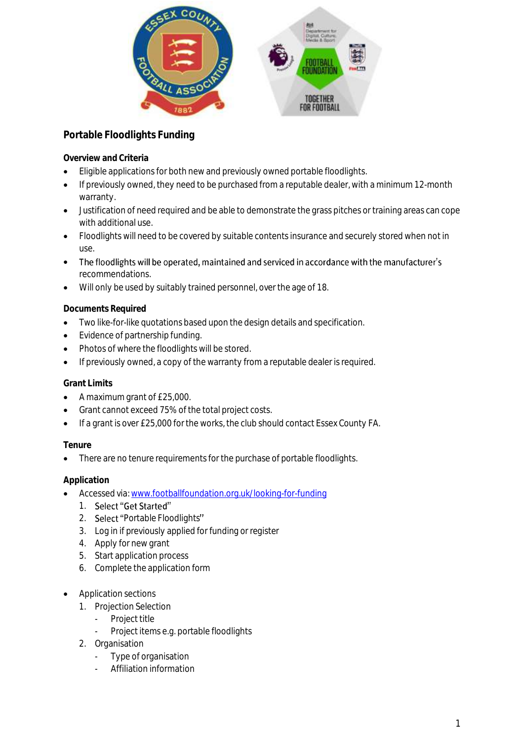

# **Portable Floodlights Funding**

**Overview and Criteria**

- Eligible applications for both new and previously owned portable floodlights.
- If previously owned, they need to be purchased from a reputable dealer, with a minimum 12-month warranty.
- Justification of need required and be able to demonstrate the grass pitches or training areas can cope with additional use.
- Floodlights will need to be covered by suitable contents insurance and securely stored when not in use.
- The floodlights will be operated, maintained and serviced in accordance with the manufacturer's recommendations.
- Will only be used by suitably trained personnel, over the age of 18.

## **Documents Required**

- Two like-for-like quotations based upon the design details and specification.
- Evidence of partnership funding.
- Photos of where the floodlights will be stored.
- If previously owned, a copy of the warranty from a reputable dealer is required.

### **Grant Limits**

- A maximum grant of £25,000.
- Grant cannot exceed 75% of the total project costs.
- If a grant is over £25,000 for the works, the club should contact Essex County FA.

### **Tenure**

There are no tenure requirements for the purchase of portable floodlights.

### **Application**

- Accessed via[: www.footballfoundation.org.uk/looking-for-funding](http://www.footballfoundation.org.uk/looking-for-funding)
	- 1. Select "Get Started"
	- 2. Select "Portable Floodlights"
	- 3. Log in if previously applied for funding or register
	- 4. Apply for new grant
	- 5. Start application process
	- 6. Complete the application form
- Application sections
	- 1. Projection Selection
		- Project title
		- Project items e.g. portable floodlights
	- 2. Organisation
		- Type of organisation
		- Affiliation information